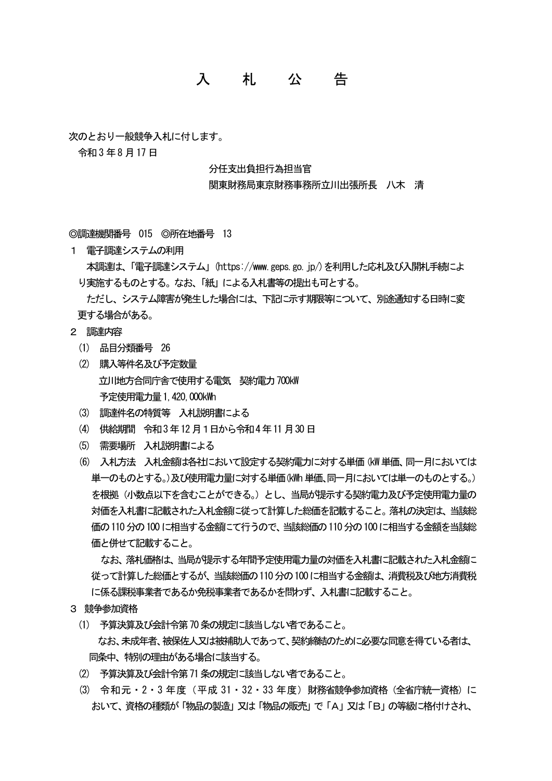## 入 札 公 告

次のとおり一般競争入札に付します。

令和3 年8 月17 日

## 分任支出負担行為担当官

## 関東財務局東京財務事務所立川出張所長 八木 清

◎調達機関番号 015 ◎所在地番号 13

1 電子調達システムの利用

 本調達は、「電子調達システム」(https://www.geps.go.jp/)を利用した応札及び入開札手続によ り実施するものとする。なお、「紙」による入札書等の提出も可とする。

 ただし、システム障害が発生した場合には、下記に示す期限等について、別途通知する日時に変 更する場合がある。

- 2 調達内容
	- (1) 品目分類番号 26
	- (2) 購入等件名及び予定数量 立川地方合同庁舎で使用する電気 契約電力700kW 予定使用電力量 1,420,000kWh
	- (3) 調達件名の特質等 入札説明書による
	- (4) 供給期間 令和3年12月1日から令和4年11月30日
	- (5) 需要場所 入札説明書による
	- (6) 入札方法 入札金額は各社において設定する契約電力に対する単価(kW単価、同一月においては 単一のものとする。)及び使用雷力量に対する単価(kWh 単価、同一月においては単一のものとする。) を根拠(小数点以下を含むことができる。)とし、当局が提示する契約電力及び予定使用電力量の 対価を入札書に記載された入札金額に従って計算した総価を記載すること。落札の決定は、当該総 価の110分の100に相当する金額にて行うので、当該総価の110分の100に相当する金額を当該総 価と併せて記載すること。

なお、落札価格は、当局が提示する年間予定使用電力量の対価を入札書に記載された入札金額に 従って計算した総価とするが、当該総価の110分の100に相当する金額は、消費税及び地方消費税 に係る課税事業者であるか免税事業者であるかを問わず、入札書に記載すること。

- 3 競争参加資格
	- (1) 予算決算及び会計令第70条の規定に該当しない者であること。 なお、未成年者、被保佐人又は被補助人であって、契約締結のために必要な同意を得ている者は、 同条中、特別の理由がある場合に該当する。
	- (2) 予算決算及び会計令第71条の規定に該当しない者であること。
	- (3) 令和元・2・3年度(平成 31・32・33 年度)財務省競争参加資格(全省庁統一資格)に おいて、資格の種類が「物品の製造」又は「物品の販売」で「A」又は「B」の等級に格付けされ、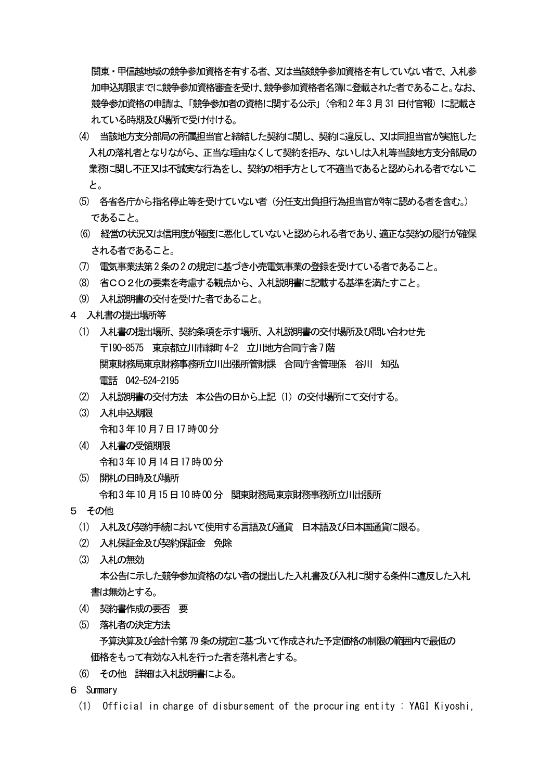関東・甲信越地域の競争参加資格を有する者、又は当該競争参加資格を有していない者で、入札参 加申込期限までに競争参加資格審査を受け、競争参加資格者名簿に登載された者であること。なお、 競争参加資格の申請は、「競争参加者の資格に関する公示」(令和2年3月31 日付官報)に記載さ れている時期及び場所で受け付ける。

- (4) 当該地方支分部局の所属担当官と締結した契約に関し、契約に違反し、又は同担当官が実施した 入札の落札者となりながら、正当な理由なくして契約を拒み、ないしは入札等当該地方支分部局の 業務に関し不正又は不誠実な行為をし、契約の相手方として不適当であると認められる者でないこ と。
- (5) 各省各庁から指名停止等を受けていない者(分任支出負担行為担当官が特に認める者を含む。) であること。
- (6) 経営の状況又は信用度が極度に悪化していないと認められる者であり、適正な契約の履行が確保 される者であること。
- (7) 電気事業法第2条の2の規定に基づき小売電気事業の登録を受けている者であること。
- (8) 省CO2化の要素を考慮する観点から、入札説明書に記載する基準を満たすこと。
- (9) 入札説明書の交付を受けた者であること。
- 4 入札書の提出場所等
	- (1) 入札書の提出場所、契約条項を示す場所、入札説明書の交付場所及び問い合わせ先 〒190-8575 東京都立川市緑町4-2 立川地方合同庁舎7階 関東財務局東京財務事務所立川出張所管財課 合同庁舎管理係 谷川 知弘 電話 042-524-2195
	- (2) 入札説明書の交付方法 本公告の日から上記(1)の交付場所にて交付する。
	- (3) 入札申込期限 令和3年10月7日17時00分
	- (4) 入札書の受領期限 令和3年10月14日17時00分
	- (5) 開札の日時及び場所 令和3年10月15日10時00分 関東財務局東京財務事務所立川出張所
- 5 その他
	- (1) 入札及び契約手続において使用する言語及び通貨 日本語及び日本国通貨に限る。
	- (2) 入札保証金及び契約保証金 免除
	- (3) 入札の無効 本公告に示した競争参加資格のない者の提出した入札書及び入札に関する条件に違反した入札 書は無効とする。
	- (4) 契約書作成の要否 要
	- (5) 落札者の決定方法

予算決算及び会計令第79条の規定に基づいて作成された予定価格の制限の範囲内で最低の 価格をもって有効な入札を行った者を落札者とする。

- (6) その他 詳細は入札説明書による。
- 6 Summary
	- (1) Official in charge of disbursement of the procuring entity : YAGI Kiyoshi,